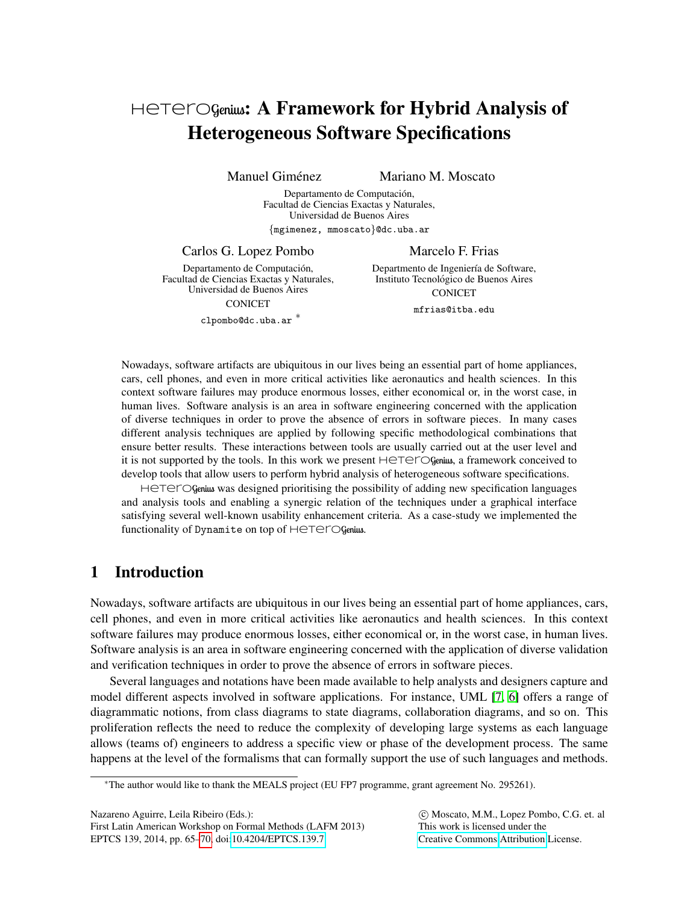# Heterogenius: A Framework for Hybrid Analysis of Heterogeneous Software Specifications

Manuel Giménez **Mariano M. Moscato** 

Departamento de Computación, Facultad de Ciencias Exactas y Naturales, Universidad de Buenos Aires {mgimenez, mmoscato}@dc.uba.ar

Carlos G. Lopez Pombo

Departamento de Computación, Facultad de Ciencias Exactas y Naturales, Universidad de Buenos Aires

CONICET clpombo@dc.uba.ar <sup>∗</sup> Departmento de Ingeniería de Software, Instituto Tecnologico de Buenos Aires ´ **CONICET** 

Marcelo F. Frias

mfrias@itba.edu

Nowadays, software artifacts are ubiquitous in our lives being an essential part of home appliances, cars, cell phones, and even in more critical activities like aeronautics and health sciences. In this context software failures may produce enormous losses, either economical or, in the worst case, in human lives. Software analysis is an area in software engineering concerned with the application of diverse techniques in order to prove the absence of errors in software pieces. In many cases different analysis techniques are applied by following specific methodological combinations that ensure better results. These interactions between tools are usually carried out at the user level and it is not supported by the tools. In this work we present  $H \in T \in \mathcal{C}$  Genius, a framework conceived to develop tools that allow users to perform hybrid analysis of heterogeneous software specifications.

Hetarogenius was designed prioritising the possibility of adding new specification languages and analysis tools and enabling a synergic relation of the techniques under a graphical interface satisfying several well-known usability enhancement criteria. As a case-study we implemented the functionality of Dynamite on top of HeteroGenius.

## 1 Introduction

Nowadays, software artifacts are ubiquitous in our lives being an essential part of home appliances, cars, cell phones, and even in more critical activities like aeronautics and health sciences. In this context software failures may produce enormous losses, either economical or, in the worst case, in human lives. Software analysis is an area in software engineering concerned with the application of diverse validation and verification techniques in order to prove the absence of errors in software pieces.

Several languages and notations have been made available to help analysts and designers capture and model different aspects involved in software applications. For instance, UML [\[7,](#page-5-1) [6\]](#page-5-2) offers a range of diagrammatic notions, from class diagrams to state diagrams, collaboration diagrams, and so on. This proliferation reflects the need to reduce the complexity of developing large systems as each language allows (teams of) engineers to address a specific view or phase of the development process. The same happens at the level of the formalisms that can formally support the use of such languages and methods.

Nazareno Aguirre, Leila Ribeiro (Eds.):

 $@$  Moscato, M.M., Lopez Pombo, C.G. et. al This work is licensed under the [Creative Commons](http://creativecommons.org) [Attribution](http://creativecommons.org/licenses/by/3.0/) License.

<sup>∗</sup>The author would like to thank the MEALS project (EU FP7 programme, grant agreement No. 295261).

First Latin American Workshop on Formal Methods (LAFM 2013) EPTCS 139, 2014, pp. 65[–70,](#page-5-0) doi[:10.4204/EPTCS.139.7](http://dx.doi.org/10.4204/EPTCS.139.7)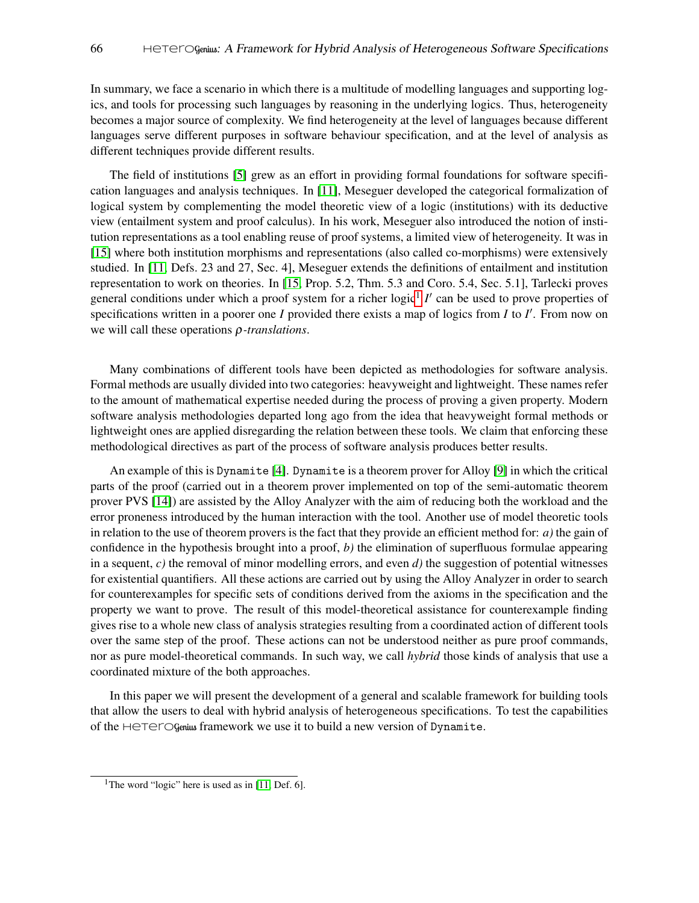In summary, we face a scenario in which there is a multitude of modelling languages and supporting logics, and tools for processing such languages by reasoning in the underlying logics. Thus, heterogeneity becomes a major source of complexity. We find heterogeneity at the level of languages because different languages serve different purposes in software behaviour specification, and at the level of analysis as different techniques provide different results.

The field of institutions [\[5\]](#page-5-3) grew as an effort in providing formal foundations for software specification languages and analysis techniques. In [\[11\]](#page-5-4), Meseguer developed the categorical formalization of logical system by complementing the model theoretic view of a logic (institutions) with its deductive view (entailment system and proof calculus). In his work, Meseguer also introduced the notion of institution representations as a tool enabling reuse of proof systems, a limited view of heterogeneity. It was in [\[15\]](#page-5-5) where both institution morphisms and representations (also called co-morphisms) were extensively studied. In [\[11,](#page-5-4) Defs. 23 and 27, Sec. 4], Meseguer extends the definitions of entailment and institution representation to work on theories. In [\[15,](#page-5-5) Prop. 5.2, Thm. 5.3 and Coro. 5.4, Sec. 5.1], Tarlecki proves general conditions under which a proof system for a richer logic<sup>[1](#page-1-0)</sup> I' can be used to prove properties of specifications written in a poorer one *I* provided there exists a map of logics from *I* to *I'*. From now on we will call these operations ρ*-translations*.

Many combinations of different tools have been depicted as methodologies for software analysis. Formal methods are usually divided into two categories: heavyweight and lightweight. These names refer to the amount of mathematical expertise needed during the process of proving a given property. Modern software analysis methodologies departed long ago from the idea that heavyweight formal methods or lightweight ones are applied disregarding the relation between these tools. We claim that enforcing these methodological directives as part of the process of software analysis produces better results.

An example of this is Dynamite [\[4\]](#page-5-6). Dynamite is a theorem prover for Alloy [\[9\]](#page-5-7) in which the critical parts of the proof (carried out in a theorem prover implemented on top of the semi-automatic theorem prover PVS [\[14\]](#page-5-8)) are assisted by the Alloy Analyzer with the aim of reducing both the workload and the error proneness introduced by the human interaction with the tool. Another use of model theoretic tools in relation to the use of theorem provers is the fact that they provide an efficient method for: *a)* the gain of confidence in the hypothesis brought into a proof, *b)* the elimination of superfluous formulae appearing in a sequent, *c)* the removal of minor modelling errors, and even *d)* the suggestion of potential witnesses for existential quantifiers. All these actions are carried out by using the Alloy Analyzer in order to search for counterexamples for specific sets of conditions derived from the axioms in the specification and the property we want to prove. The result of this model-theoretical assistance for counterexample finding gives rise to a whole new class of analysis strategies resulting from a coordinated action of different tools over the same step of the proof. These actions can not be understood neither as pure proof commands, nor as pure model-theoretical commands. In such way, we call *hybrid* those kinds of analysis that use a coordinated mixture of the both approaches.

In this paper we will present the development of a general and scalable framework for building tools that allow the users to deal with hybrid analysis of heterogeneous specifications. To test the capabilities of the Heterogenius framework we use it to build a new version of Dynamite.

<span id="page-1-0"></span><sup>&</sup>lt;sup>1</sup>The word "logic" here is used as in [\[11,](#page-5-4) Def. 6].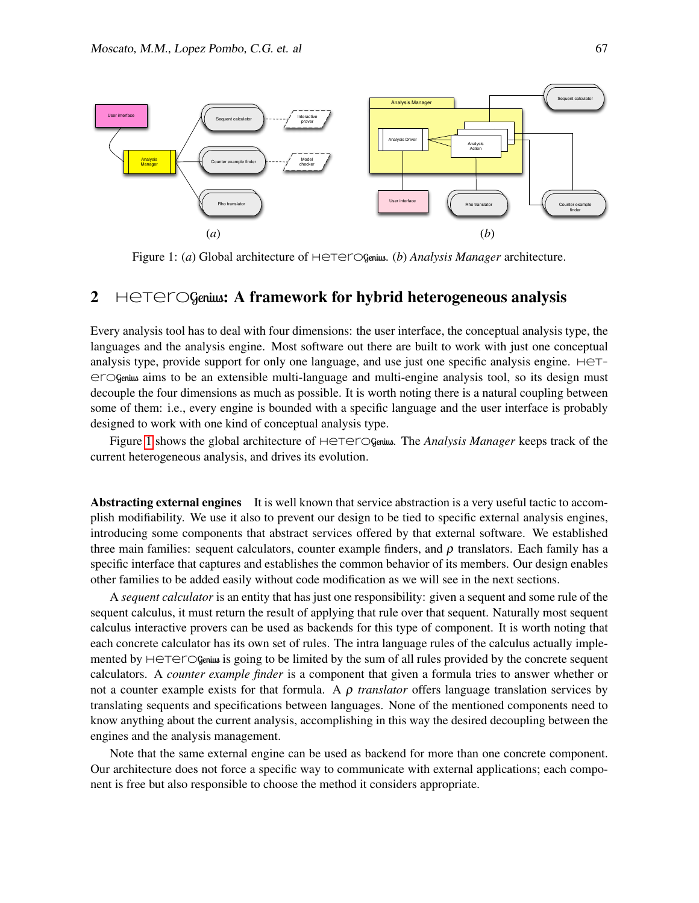

<span id="page-2-0"></span>Figure 1: (*a*) Global architecture of  $H$ eterOgenius. (*b*) *Analysis Manager* architecture.

## 2  $H \in \text{TermGenius: A framework for hybrid heterogeneous analysis}$

Every analysis tool has to deal with four dimensions: the user interface, the conceptual analysis type, the languages and the analysis engine. Most software out there are built to work with just one conceptual analysis type, provide support for only one language, and use just one specific analysis engine.  $H \in T^$ eroGenius aims to be an extensible multi-language and multi-engine analysis tool, so its design must decouple the four dimensions as much as possible. It is worth noting there is a natural coupling between some of them: i.e., every engine is bounded with a specific language and the user interface is probably designed to work with one kind of conceptual analysis type.

Figure [1](#page-2-0) shows the global architecture of  $H\epsilon T\epsilon T\epsilon T\epsilon$  and *Analysis Manager* keeps track of the current heterogeneous analysis, and drives its evolution.

Abstracting external engines It is well known that service abstraction is a very useful tactic to accomplish modifiability. We use it also to prevent our design to be tied to specific external analysis engines, introducing some components that abstract services offered by that external software. We established three main families: sequent calculators, counter example finders, and  $\rho$  translators. Each family has a specific interface that captures and establishes the common behavior of its members. Our design enables other families to be added easily without code modification as we will see in the next sections.

A *sequent calculator* is an entity that has just one responsibility: given a sequent and some rule of the sequent calculus, it must return the result of applying that rule over that sequent. Naturally most sequent calculus interactive provers can be used as backends for this type of component. It is worth noting that each concrete calculator has its own set of rules. The intra language rules of the calculus actually implemented by HeTerOgenius is going to be limited by the sum of all rules provided by the concrete sequent calculators. A *counter example finder* is a component that given a formula tries to answer whether or not a counter example exists for that formula. A ρ *translator* offers language translation services by translating sequents and specifications between languages. None of the mentioned components need to know anything about the current analysis, accomplishing in this way the desired decoupling between the engines and the analysis management.

Note that the same external engine can be used as backend for more than one concrete component. Our architecture does not force a specific way to communicate with external applications; each component is free but also responsible to choose the method it considers appropriate.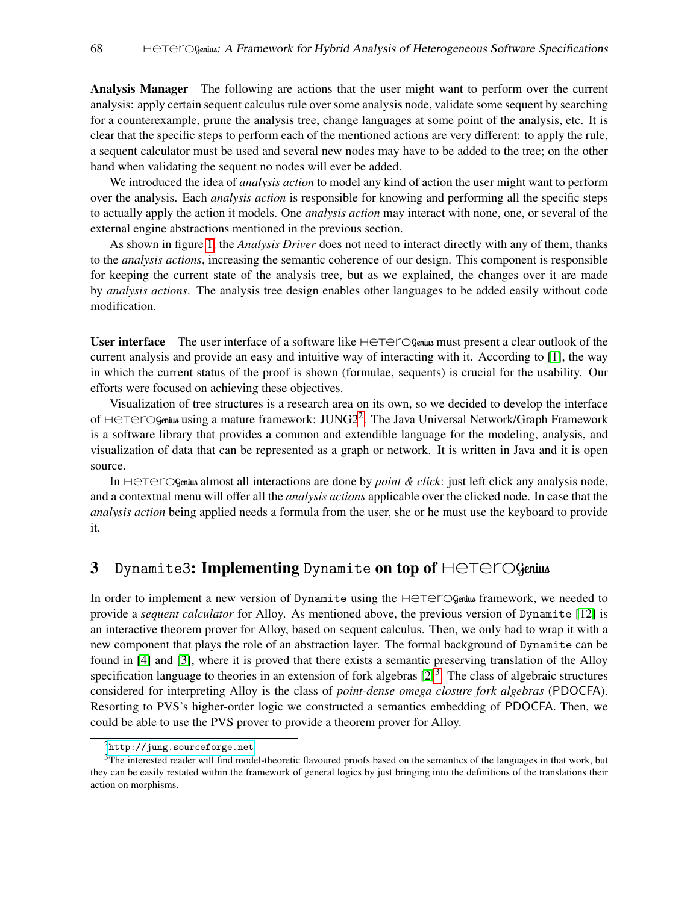Analysis Manager The following are actions that the user might want to perform over the current analysis: apply certain sequent calculus rule over some analysis node, validate some sequent by searching for a counterexample, prune the analysis tree, change languages at some point of the analysis, etc. It is clear that the specific steps to perform each of the mentioned actions are very different: to apply the rule, a sequent calculator must be used and several new nodes may have to be added to the tree; on the other hand when validating the sequent no nodes will ever be added.

We introduced the idea of *analysis action* to model any kind of action the user might want to perform over the analysis. Each *analysis action* is responsible for knowing and performing all the specific steps to actually apply the action it models. One *analysis action* may interact with none, one, or several of the external engine abstractions mentioned in the previous section.

As shown in figure [1,](#page-2-0) the *Analysis Driver* does not need to interact directly with any of them, thanks to the *analysis actions*, increasing the semantic coherence of our design. This component is responsible for keeping the current state of the analysis tree, but as we explained, the changes over it are made by *analysis actions*. The analysis tree design enables other languages to be added easily without code modification.

User interface The user interface of a software like HeteroGenius must present a clear outlook of the current analysis and provide an easy and intuitive way of interacting with it. According to [\[1\]](#page-4-0), the way in which the current status of the proof is shown (formulae, sequents) is crucial for the usability. Our efforts were focused on achieving these objectives.

Visualization of tree structures is a research area on its own, so we decided to develop the interface of Heterogenius using a mature framework: JUNG[2](#page-3-0)<sup>2</sup>. The Java Universal Network/Graph Framework is a software library that provides a common and extendible language for the modeling, analysis, and visualization of data that can be represented as a graph or network. It is written in Java and it is open source.

In Heterogenius almost all interactions are done by *point & click*: just left click any analysis node, and a contextual menu will offer all the *analysis actions* applicable over the clicked node. In case that the *analysis action* being applied needs a formula from the user, she or he must use the keyboard to provide it.

### 3 Dynamite3: Implementing Dynamite on top of  $\text{HETer}$ Ogenius

In order to implement a new version of Dynamite using the  $\text{HETCG}$  Genius framework, we needed to provide a *sequent calculator* for Alloy. As mentioned above, the previous version of Dynamite [\[12\]](#page-5-9) is an interactive theorem prover for Alloy, based on sequent calculus. Then, we only had to wrap it with a new component that plays the role of an abstraction layer. The formal background of Dynamite can be found in [\[4\]](#page-5-6) and [\[3\]](#page-5-10), where it is proved that there exists a semantic preserving translation of the Alloy specification language to theories in an extension of fork algebras  $[2]^3$  $[2]^3$  $[2]^3$ . The class of algebraic structures considered for interpreting Alloy is the class of *point-dense omega closure fork algebras* (PDOCFA). Resorting to PVS's higher-order logic we constructed a semantics embedding of PDOCFA. Then, we could be able to use the PVS prover to provide a theorem prover for Alloy.

<span id="page-3-1"></span><span id="page-3-0"></span><sup>2</sup><http://jung.sourceforge.net>

<sup>&</sup>lt;sup>3</sup>The interested reader will find model-theoretic flavoured proofs based on the semantics of the languages in that work, but they can be easily restated within the framework of general logics by just bringing into the definitions of the translations their action on morphisms.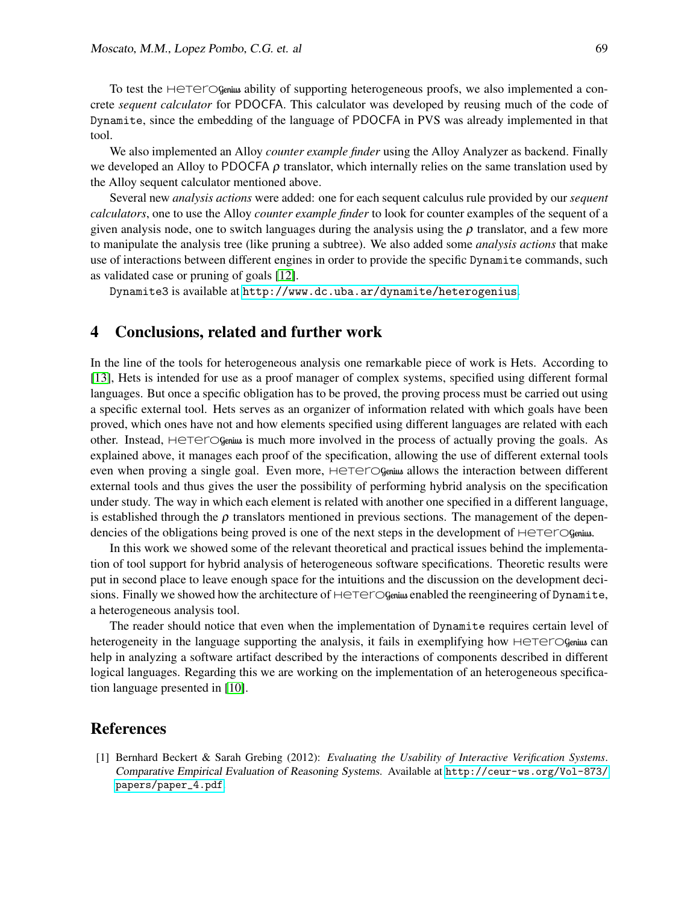To test the  $H \in \text{HETOGenius}$  ability of supporting heterogeneous proofs, we also implemented a concrete *sequent calculator* for PDOCFA. This calculator was developed by reusing much of the code of Dynamite, since the embedding of the language of PDOCFA in PVS was already implemented in that tool.

We also implemented an Alloy *counter example finder* using the Alloy Analyzer as backend. Finally we developed an Alloy to PDOCFA  $\rho$  translator, which internally relies on the same translation used by the Alloy sequent calculator mentioned above.

Several new *analysis actions* were added: one for each sequent calculus rule provided by our *sequent calculators*, one to use the Alloy *counter example finder* to look for counter examples of the sequent of a given analysis node, one to switch languages during the analysis using the  $\rho$  translator, and a few more to manipulate the analysis tree (like pruning a subtree). We also added some *analysis actions* that make use of interactions between different engines in order to provide the specific Dynamite commands, such as validated case or pruning of goals [\[12\]](#page-5-9).

Dynamite3 is available at <http://www.dc.uba.ar/dynamite/heterogenius>.

#### 4 Conclusions, related and further work

In the line of the tools for heterogeneous analysis one remarkable piece of work is Hets. According to [\[13\]](#page-5-12), Hets is intended for use as a proof manager of complex systems, specified using different formal languages. But once a specific obligation has to be proved, the proving process must be carried out using a specific external tool. Hets serves as an organizer of information related with which goals have been proved, which ones have not and how elements specified using different languages are related with each other. Instead,  $H \in T \subset \mathbb{G}$ genius is much more involved in the process of actually proving the goals. As explained above, it manages each proof of the specification, allowing the use of different external tools even when proving a single goal. Even more, HeteroGenius allows the interaction between different external tools and thus gives the user the possibility of performing hybrid analysis on the specification under study. The way in which each element is related with another one specified in a different language, is established through the  $\rho$  translators mentioned in previous sections. The management of the dependencies of the obligations being proved is one of the next steps in the development of HeTerOgenius.

In this work we showed some of the relevant theoretical and practical issues behind the implementation of tool support for hybrid analysis of heterogeneous software specifications. Theoretic results were put in second place to leave enough space for the intuitions and the discussion on the development decisions. Finally we showed how the architecture of  $H \in T \in C$  Genius enabled the reengineering of Dynamite, a heterogeneous analysis tool.

The reader should notice that even when the implementation of Dynamite requires certain level of heterogeneity in the language supporting the analysis, it fails in exemplifying how  $HericG$ Genius can help in analyzing a software artifact described by the interactions of components described in different logical languages. Regarding this we are working on the implementation of an heterogeneous specification language presented in [\[10\]](#page-5-13).

#### References

<span id="page-4-0"></span>[1] Bernhard Beckert & Sarah Grebing (2012): *Evaluating the Usability of Interactive Verification Systems*. Comparative Empirical Evaluation of Reasoning Systems. Available at [http://ceur-ws.org/Vol-873/](http://ceur-ws.org/Vol-873/papers/paper_4.pdf) [papers/paper\\_4.pdf](http://ceur-ws.org/Vol-873/papers/paper_4.pdf).